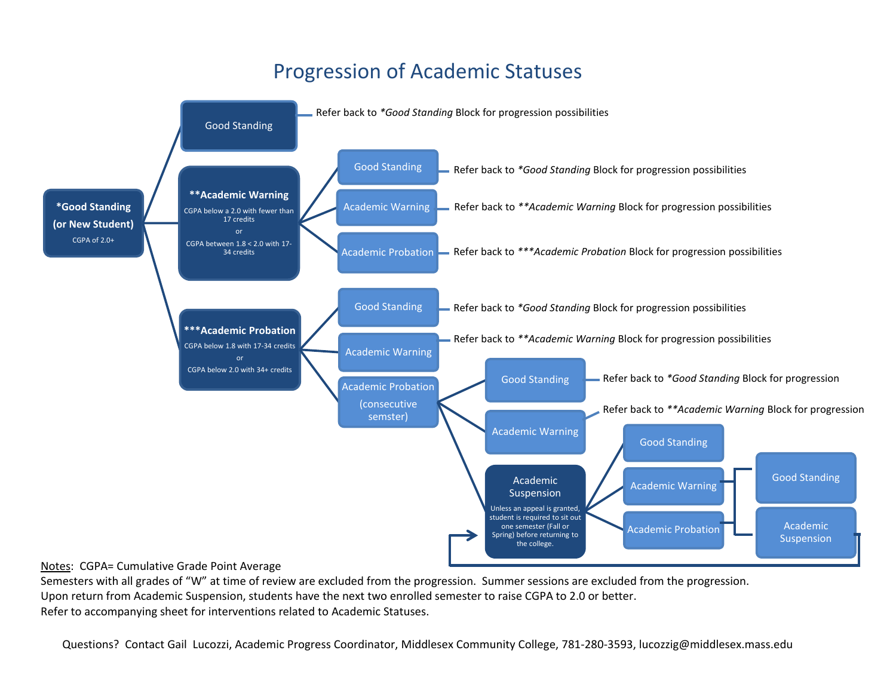## Progression of Academic Statuses



Semesters with all grades of "W" at time of review are excluded from the progression. Summer sessions are excluded from the progression. Upon return from Academic Suspension, students have the next two enrolled semester to raise CGPA to 2.0 or better. Refer to accompanying sheet for interventions related to Academic Statuses.

Questions? Contact Gail Lucozzi, Academic Progress Coordinator, Middlesex Community College, 781-280-3593, lucozzig@middlesex.mass.edu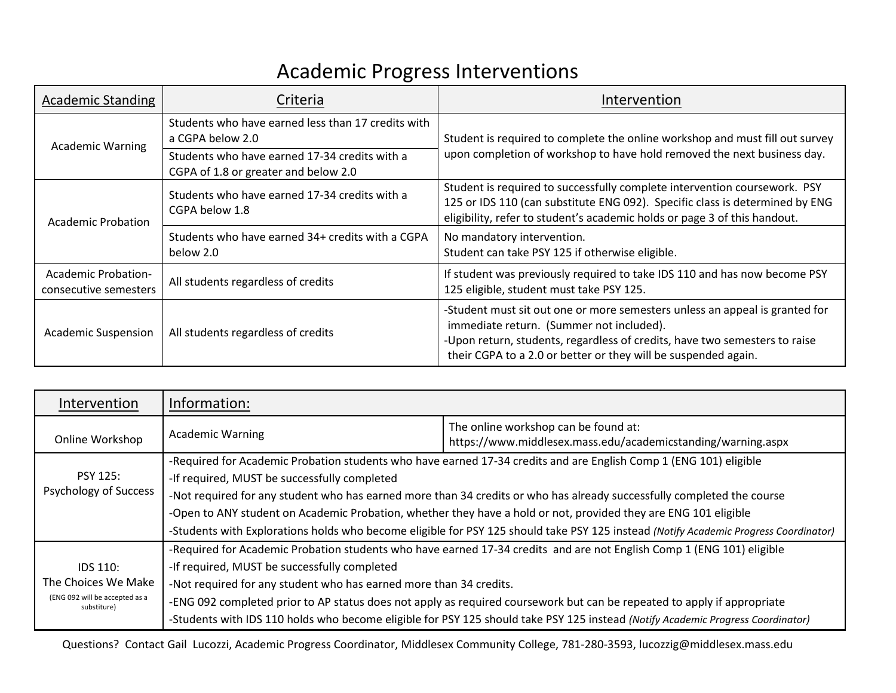## Academic Progress Interventions

| <b>Academic Standing</b>                            | Criteria                                                                              | Intervention                                                                                                                                                                                                                                                            |
|-----------------------------------------------------|---------------------------------------------------------------------------------------|-------------------------------------------------------------------------------------------------------------------------------------------------------------------------------------------------------------------------------------------------------------------------|
| <b>Academic Warning</b>                             | Students who have earned less than 17 credits with<br>a CGPA below 2.0                | Student is required to complete the online workshop and must fill out survey<br>upon completion of workshop to have hold removed the next business day.                                                                                                                 |
|                                                     | Students who have earned 17-34 credits with a<br>CGPA of 1.8 or greater and below 2.0 |                                                                                                                                                                                                                                                                         |
| Academic Probation                                  | Students who have earned 17-34 credits with a<br>CGPA below 1.8                       | Student is required to successfully complete intervention coursework. PSY<br>125 or IDS 110 (can substitute ENG 092). Specific class is determined by ENG<br>eligibility, refer to student's academic holds or page 3 of this handout.                                  |
|                                                     | Students who have earned 34+ credits with a CGPA<br>below 2.0                         | No mandatory intervention.<br>Student can take PSY 125 if otherwise eligible.                                                                                                                                                                                           |
| <b>Academic Probation-</b><br>consecutive semesters | All students regardless of credits                                                    | If student was previously required to take IDS 110 and has now become PSY<br>125 eligible, student must take PSY 125.                                                                                                                                                   |
| <b>Academic Suspension</b>                          | All students regardless of credits                                                    | -Student must sit out one or more semesters unless an appeal is granted for<br>immediate return. (Summer not included).<br>-Upon return, students, regardless of credits, have two semesters to raise<br>their CGPA to a 2.0 or better or they will be suspended again. |

| Intervention                                    | Information:                                                                                                                         |                                                                                                                                 |
|-------------------------------------------------|--------------------------------------------------------------------------------------------------------------------------------------|---------------------------------------------------------------------------------------------------------------------------------|
| Online Workshop                                 | <b>Academic Warning</b>                                                                                                              | The online workshop can be found at:<br>https://www.middlesex.mass.edu/academicstanding/warning.aspx                            |
| <b>PSY 125:</b><br><b>Psychology of Success</b> | -Required for Academic Probation students who have earned 17-34 credits and are English Comp 1 (ENG 101) eligible                    |                                                                                                                                 |
|                                                 | -If required, MUST be successfully completed                                                                                         |                                                                                                                                 |
|                                                 | -Not required for any student who has earned more than 34 credits or who has already successfully completed the course               |                                                                                                                                 |
|                                                 | -Open to ANY student on Academic Probation, whether they have a hold or not, provided they are ENG 101 eligible                      |                                                                                                                                 |
|                                                 | -Students with Explorations holds who become eligible for PSY 125 should take PSY 125 instead (Notify Academic Progress Coordinator) |                                                                                                                                 |
|                                                 | -Required for Academic Probation students who have earned 17-34 credits and are not English Comp 1 (ENG 101) eligible                |                                                                                                                                 |
| <b>IDS 110:</b>                                 | -If required, MUST be successfully completed                                                                                         |                                                                                                                                 |
| The Choices We Make                             | -Not required for any student who has earned more than 34 credits.                                                                   |                                                                                                                                 |
| (ENG 092 will be accepted as a<br>substiture)   | -ENG 092 completed prior to AP status does not apply as required coursework but can be repeated to apply if appropriate              |                                                                                                                                 |
|                                                 |                                                                                                                                      | -Students with IDS 110 holds who become eligible for PSY 125 should take PSY 125 instead (Notify Academic Progress Coordinator) |

Questions? Contact Gail Lucozzi, Academic Progress Coordinator, Middlesex Community College, 781-280-3593, lucozzig@middlesex.mass.edu